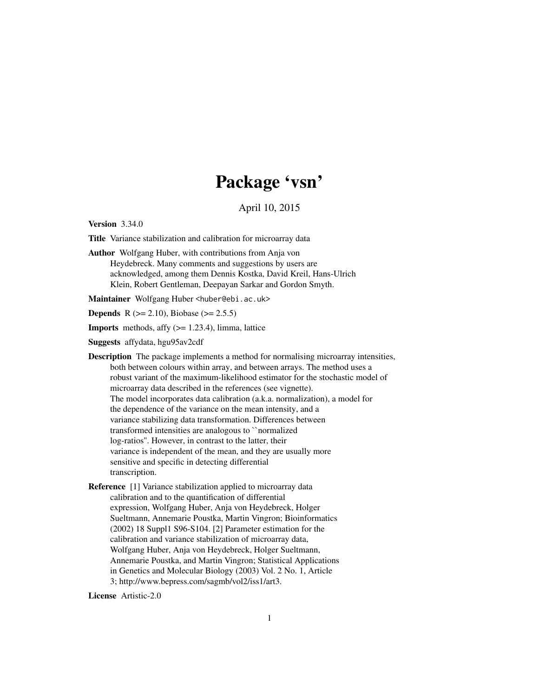## Package 'vsn'

April 10, 2015

<span id="page-0-0"></span>Version 3.34.0

Title Variance stabilization and calibration for microarray data

Author Wolfgang Huber, with contributions from Anja von Heydebreck. Many comments and suggestions by users are acknowledged, among them Dennis Kostka, David Kreil, Hans-Ulrich Klein, Robert Gentleman, Deepayan Sarkar and Gordon Smyth.

Maintainer Wolfgang Huber <huber@ebi.ac.uk>

**Depends** R ( $>= 2.10$ ), Biobase ( $>= 2.5.5$ )

**Imports** methods, affy  $(>= 1.23.4)$ , limma, lattice

Suggests affydata, hgu95av2cdf

Description The package implements a method for normalising microarray intensities, both between colours within array, and between arrays. The method uses a robust variant of the maximum-likelihood estimator for the stochastic model of microarray data described in the references (see vignette). The model incorporates data calibration (a.k.a. normalization), a model for the dependence of the variance on the mean intensity, and a variance stabilizing data transformation. Differences between transformed intensities are analogous to ``normalized log-ratios''. However, in contrast to the latter, their variance is independent of the mean, and they are usually more sensitive and specific in detecting differential transcription.

Reference [1] Variance stabilization applied to microarray data calibration and to the quantification of differential expression, Wolfgang Huber, Anja von Heydebreck, Holger Sueltmann, Annemarie Poustka, Martin Vingron; Bioinformatics (2002) 18 Suppl1 S96-S104. [2] Parameter estimation for the calibration and variance stabilization of microarray data, Wolfgang Huber, Anja von Heydebreck, Holger Sueltmann, Annemarie Poustka, and Martin Vingron; Statistical Applications in Genetics and Molecular Biology (2003) Vol. 2 No. 1, Article 3; http://www.bepress.com/sagmb/vol2/iss1/art3.

License Artistic-2.0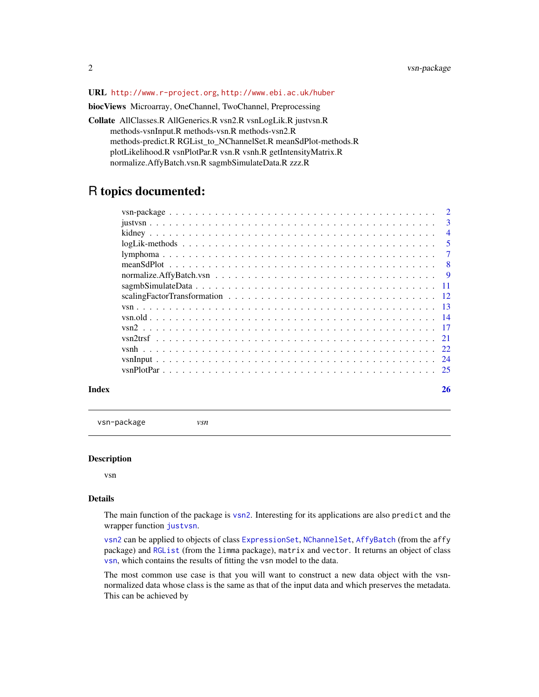#### <span id="page-1-0"></span>URL <http://www.r-project.org>, <http://www.ebi.ac.uk/huber>

biocViews Microarray, OneChannel, TwoChannel, Preprocessing

Collate AllClasses.R AllGenerics.R vsn2.R vsnLogLik.R justvsn.R methods-vsnInput.R methods-vsn.R methods-vsn2.R methods-predict.R RGList\_to\_NChannelSet.R meanSdPlot-methods.R plotLikelihood.R vsnPlotPar.R vsn.R vsnh.R getIntensityMatrix.R normalize.AffyBatch.vsn.R sagmbSimulateData.R zzz.R

### R topics documented:

|       | $\overline{3}$ |
|-------|----------------|
|       | $\overline{4}$ |
|       | - 5            |
|       |                |
|       |                |
|       |                |
|       |                |
|       |                |
|       |                |
|       |                |
|       |                |
|       |                |
|       |                |
|       |                |
|       |                |
| Index | 26             |

vsn-package *vsn*

#### Description

vsn

#### Details

The main function of the package is [vsn2](#page-16-1). Interesting for its applications are also predict and the wrapper function [justvsn](#page-2-1).

[vsn2](#page-16-1) can be applied to objects of class [ExpressionSet](#page-0-0), [NChannelSet](#page-0-0), [AffyBatch](#page-0-0) (from the affy package) and [RGList](#page-0-0) (from the limma package), matrix and vector. It returns an object of class [vsn](#page-12-1), which contains the results of fitting the vsn model to the data.

The most common use case is that you will want to construct a new data object with the vsnnormalized data whose class is the same as that of the input data and which preserves the metadata. This can be achieved by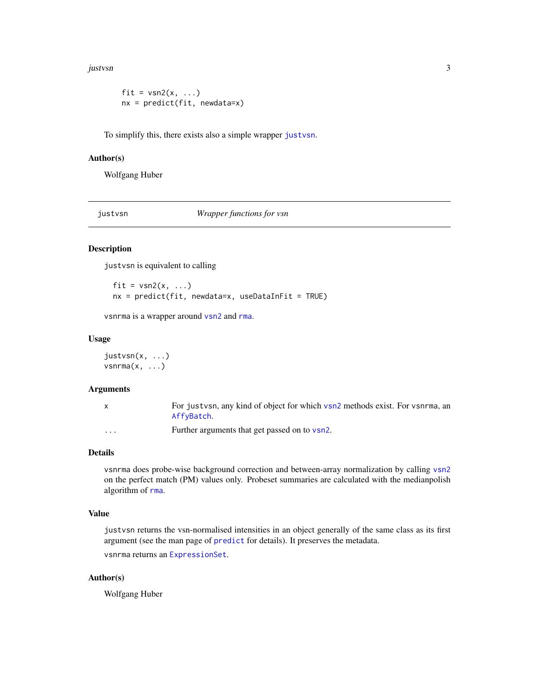<span id="page-2-0"></span>justvsn 3

```
fit = vsn2(x, \ldots)nx = predict(fit, newdata=x)
```
To simplify this, there exists also a simple wrapper [justvsn](#page-2-1).

#### Author(s)

Wolfgang Huber

<span id="page-2-1"></span>justvsn *Wrapper functions for vsn*

#### Description

justvsn is equivalent to calling

fit =  $vsn2(x, \ldots)$  $nx = predict(fit, newdata=x, useDataInFit = TRUE)$ 

vsnrma is a wrapper around [vsn2](#page-16-1) and [rma](#page-0-0).

#### Usage

justvsn(x, ...)  $vsnrma(x, \ldots)$ 

#### Arguments

|                      | For justysn, any kind of object for which vsn2 methods exist. For vsnrma, an<br>AffyBatch. |
|----------------------|--------------------------------------------------------------------------------------------|
| $\ddot{\phantom{0}}$ | Further arguments that get passed on to vsn2.                                              |

#### Details

vsnrma does probe-wise background correction and between-array normalization by calling [vsn2](#page-16-1) on the perfect match (PM) values only. Probeset summaries are calculated with the medianpolish algorithm of [rma](#page-0-0).

#### Value

justvsn returns the vsn-normalised intensities in an object generally of the same class as its first argument (see the man page of [predict](#page-0-0) for details). It preserves the metadata. vsnrma returns an [ExpressionSet](#page-0-0).

#### Author(s)

Wolfgang Huber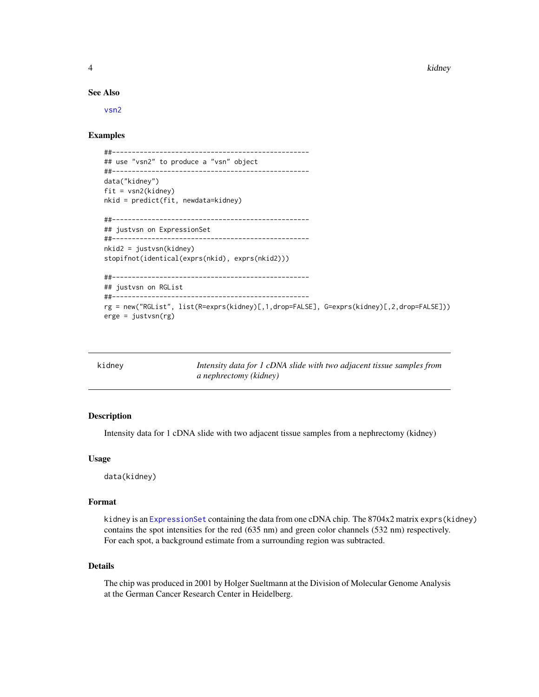<span id="page-3-0"></span>4 kidney

#### See Also

[vsn2](#page-16-1)

#### Examples

```
##--------------------------------------------------
## use "vsn2" to produce a "vsn" object
##--------------------------------------------------
data("kidney")
fit = vsn2(kidney)nkid = predict(fit, newdata=kidney)
##--------------------------------------------------
## justvsn on ExpressionSet
##--------------------------------------------------
nkid2 = justvsn(kidney)
stopifnot(identical(exprs(nkid), exprs(nkid2)))
##--------------------------------------------------
## justvsn on RGList
##--------------------------------------------------
rg = new("RGList", list(R=exprs(kidney)[,1,drop=FALSE], G=exprs(kidney)[,2,drop=FALSE]))
erge = justvsn(rg)
```

| kidney | Intensity data for 1 cDNA slide with two adjacent tissue samples from |
|--------|-----------------------------------------------------------------------|
|        | a nephrectomy (kidney)                                                |

#### Description

Intensity data for 1 cDNA slide with two adjacent tissue samples from a nephrectomy (kidney)

#### Usage

data(kidney)

#### Format

kidney is an [ExpressionSet](#page-0-0) containing the data from one cDNA chip. The 8704x2 matrix exprs(kidney) contains the spot intensities for the red (635 nm) and green color channels (532 nm) respectively. For each spot, a background estimate from a surrounding region was subtracted.

#### Details

The chip was produced in 2001 by Holger Sueltmann at the Division of Molecular Genome Analysis at the German Cancer Research Center in Heidelberg.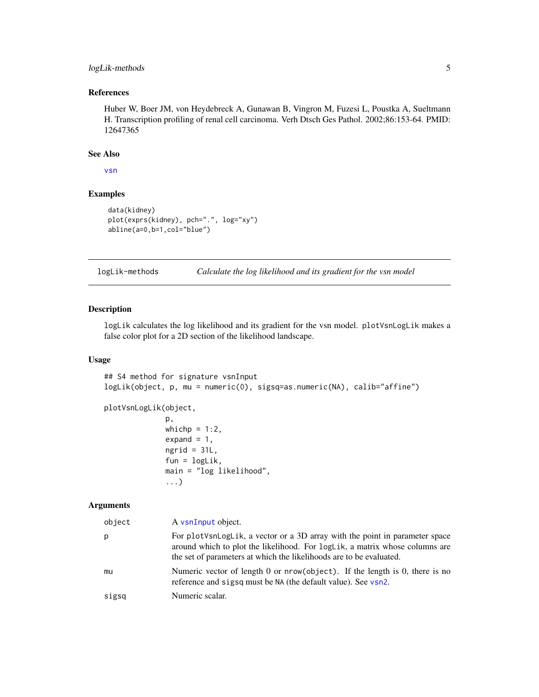#### <span id="page-4-0"></span>logLik-methods 5

#### References

Huber W, Boer JM, von Heydebreck A, Gunawan B, Vingron M, Fuzesi L, Poustka A, Sueltmann H. Transcription profiling of renal cell carcinoma. Verh Dtsch Ges Pathol. 2002;86:153-64. PMID: 12647365

#### See Also

[vsn](#page-12-2)

#### Examples

```
data(kidney)
plot(exprs(kidney), pch=".", log="xy")
abline(a=0,b=1,col="blue")
```
logLik-methods *Calculate the log likelihood and its gradient for the vsn model*

#### Description

logLik calculates the log likelihood and its gradient for the vsn model. plotVsnLogLik makes a false color plot for a 2D section of the likelihood landscape.

#### Usage

```
## S4 method for signature vsnInput
logLik(object, p, mu = numeric(0), sigsq=as.numeric(NA), calib="affine")
```

```
plotVsnLogLik(object,
```

```
p,
whichp = 1:2,
expand = 1,
ngrid = 31L,fun = logLik,
main = "log likelihood",
...)
```
#### Arguments

| object | A vsnInput object.                                                                                                                                                                                                                |
|--------|-----------------------------------------------------------------------------------------------------------------------------------------------------------------------------------------------------------------------------------|
| р      | For plotVsnLogLik, a vector or a 3D array with the point in parameter space<br>around which to plot the likelihood. For logLik, a matrix whose columns are<br>the set of parameters at which the likelihoods are to be evaluated. |
| mu     | Numeric vector of length 0 or $nrow(object)$ . If the length is 0, there is no<br>reference and sigsq must be NA (the default value). See vsn2.                                                                                   |
| sigsq  | Numeric scalar.                                                                                                                                                                                                                   |
|        |                                                                                                                                                                                                                                   |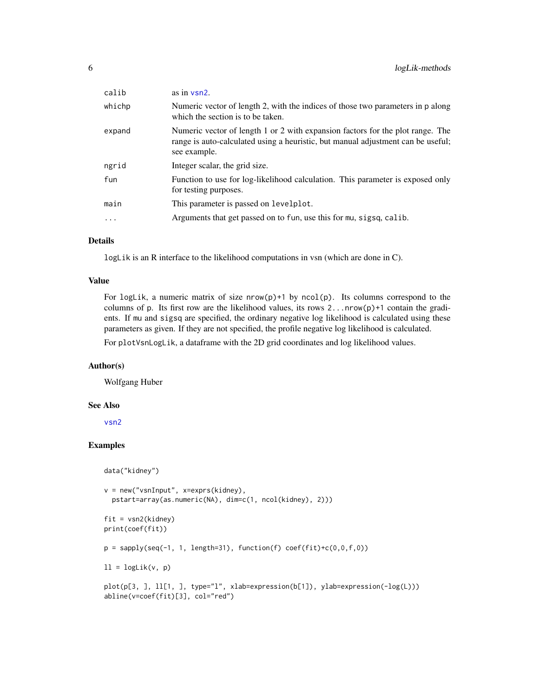| calib    | as in $vsn2$ .                                                                                                                                                                     |
|----------|------------------------------------------------------------------------------------------------------------------------------------------------------------------------------------|
| whichp   | Numeric vector of length 2, with the indices of those two parameters in p along<br>which the section is to be taken.                                                               |
| expand   | Numeric vector of length 1 or 2 with expansion factors for the plot range. The<br>range is auto-calculated using a heuristic, but manual adjustment can be useful;<br>see example. |
| ngrid    | Integer scalar, the grid size.                                                                                                                                                     |
| fun      | Function to use for log-likelihood calculation. This parameter is exposed only<br>for testing purposes.                                                                            |
| main     | This parameter is passed on levelplot.                                                                                                                                             |
| $\cdots$ | Arguments that get passed on to fun, use this for mu, sigsq, calib.                                                                                                                |

#### Details

logLik is an R interface to the likelihood computations in vsn (which are done in C).

#### Value

For logLik, a numeric matrix of size  $nrow(p)+1$  by  $ncol(p)$ . Its columns correspond to the columns of p. Its first row are the likelihood values, its rows  $2 \dots n r \omega(p) + 1$  contain the gradients. If mu and sigsq are specified, the ordinary negative log likelihood is calculated using these parameters as given. If they are not specified, the profile negative log likelihood is calculated.

For plotVsnLogLik, a dataframe with the 2D grid coordinates and log likelihood values.

#### Author(s)

Wolfgang Huber

#### See Also

[vsn2](#page-16-1)

#### Examples

data("kidney")

abline(v=coef(fit)[3], col="red")

```
v = new("vsnInput", x=exprs(kidney),
  pstart=array(as.numeric(NA), dim=c(1, ncol(kidney), 2)))
fit = vsn2(kidney)
print(coef(fit))
p = sapply(seq(-1, 1, length=31), function(f) coef(fit)+c(0,0,f,0))
11 = \text{logLik}(v, p)plot(p[3, ], ll[1, ], type="l", xlab=expression(b[1]), ylab=expression(-log(L)))
```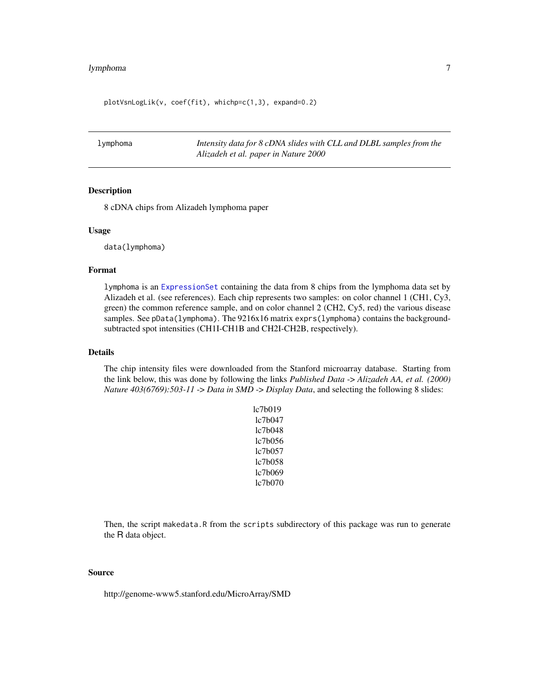#### <span id="page-6-0"></span>lymphoma 7

plotVsnLogLik(v, coef(fit), whichp=c(1,3), expand=0.2)

lymphoma *Intensity data for 8 cDNA slides with CLL and DLBL samples from the Alizadeh et al. paper in Nature 2000*

#### Description

8 cDNA chips from Alizadeh lymphoma paper

#### Usage

data(lymphoma)

#### Format

lymphoma is an [ExpressionSet](#page-0-0) containing the data from 8 chips from the lymphoma data set by Alizadeh et al. (see references). Each chip represents two samples: on color channel 1 (CH1, Cy3, green) the common reference sample, and on color channel 2 (CH2, Cy5, red) the various disease samples. See pData(lymphoma). The 9216x16 matrix exprs(lymphoma) contains the backgroundsubtracted spot intensities (CH1I-CH1B and CH2I-CH2B, respectively).

#### Details

The chip intensity files were downloaded from the Stanford microarray database. Starting from the link below, this was done by following the links *Published Data* -> *Alizadeh AA, et al. (2000) Nature 403(6769):503-11* -> *Data in SMD* -> *Display Data*, and selecting the following 8 slides:

> lc7b019 lc7b047 lc7b048 lc7b056 lc7b057 lc7b058 lc7b069 lc7b070

Then, the script makedata.R from the scripts subdirectory of this package was run to generate the R data object.

#### Source

http://genome-www5.stanford.edu/MicroArray/SMD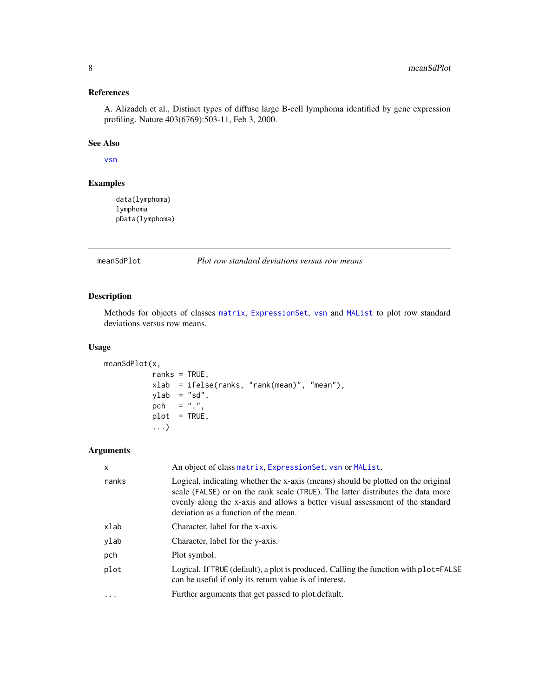#### <span id="page-7-0"></span>References

A. Alizadeh et al., Distinct types of diffuse large B-cell lymphoma identified by gene expression profiling. Nature 403(6769):503-11, Feb 3, 2000.

#### See Also

[vsn](#page-12-2)

#### Examples

data(lymphoma) lymphoma pData(lymphoma)

meanSdPlot *Plot row standard deviations versus row means*

#### Description

Methods for objects of classes [matrix](#page-0-0), [ExpressionSet](#page-0-0), [vsn](#page-12-1) and [MAList](#page-0-0) to plot row standard deviations versus row means.

#### Usage

```
meanSdPlot(x,
          ranks = TRUE,
          xlab = ifelse(ranks, "rank(mean)", "mean"),
          ylab = "sd",
          pch = ".",
          plot = TRUE,
           ...)
```
#### Arguments

| $\mathsf{x}$ | An object of class matrix, Expression Set, vsn or MAList.                                                                                                                                                                                                                                    |
|--------------|----------------------------------------------------------------------------------------------------------------------------------------------------------------------------------------------------------------------------------------------------------------------------------------------|
| ranks        | Logical, indicating whether the x-axis (means) should be plotted on the original<br>scale (FALSE) or on the rank scale (TRUE). The latter distributes the data more<br>evenly along the x-axis and allows a better visual assessment of the standard<br>deviation as a function of the mean. |
| xlab         | Character, label for the x-axis.                                                                                                                                                                                                                                                             |
| ylab         | Character, label for the y-axis.                                                                                                                                                                                                                                                             |
| pch          | Plot symbol.                                                                                                                                                                                                                                                                                 |
| plot         | Logical. If TRUE (default), a plot is produced. Calling the function with plot=FALSE<br>can be useful if only its return value is of interest.                                                                                                                                               |
| $\ddotsc$    | Further arguments that get passed to plot. default.                                                                                                                                                                                                                                          |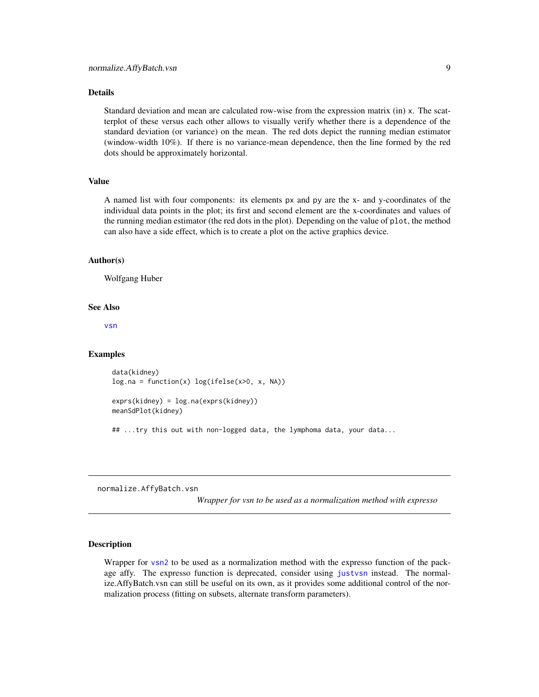#### <span id="page-8-0"></span>Details

Standard deviation and mean are calculated row-wise from the expression matrix (in) x. The scatterplot of these versus each other allows to visually verify whether there is a dependence of the standard deviation (or variance) on the mean. The red dots depict the running median estimator (window-width 10%). If there is no variance-mean dependence, then the line formed by the red dots should be approximately horizontal.

#### Value

A named list with four components: its elements px and py are the x- and y-coordinates of the individual data points in the plot; its first and second element are the x-coordinates and values of the running median estimator (the red dots in the plot). Depending on the value of plot, the method can also have a side effect, which is to create a plot on the active graphics device.

#### Author(s)

Wolfgang Huber

#### See Also

[vsn](#page-12-2)

#### Examples

```
data(kidney)
log.na = function(x) log(ifelse(x>0, x, NA))
```

```
exprs(kidney) = log.na(exprs(kidney))
meanSdPlot(kidney)
```
## ...try this out with non-logged data, the lymphoma data, your data...

<span id="page-8-1"></span>normalize.AffyBatch.vsn

*Wrapper for vsn to be used as a normalization method with expresso*

#### Description

Wrapper for [vsn2](#page-16-1) to be used as a normalization method with the expresso function of the package affy. The expresso function is deprecated, consider using [justvsn](#page-2-1) instead. The normalize.AffyBatch.vsn can still be useful on its own, as it provides some additional control of the normalization process (fitting on subsets, alternate transform parameters).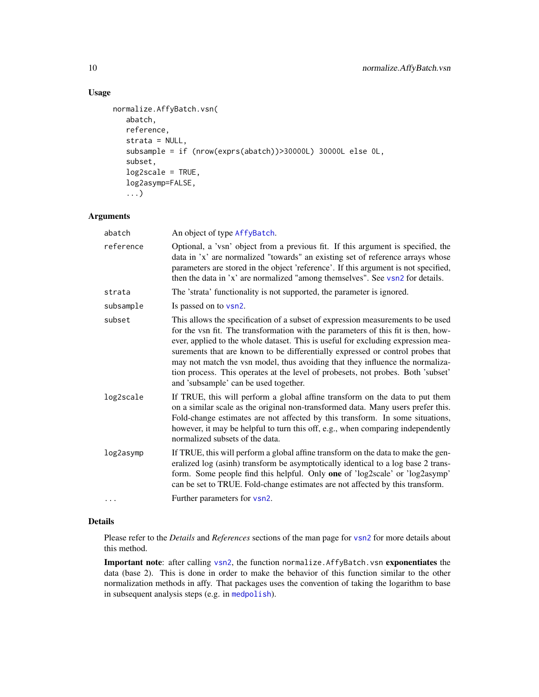#### Usage

```
normalize.AffyBatch.vsn(
   abatch,
   reference,
   strata = NULL,
   subsample = if (nrow(exprs(abatch))>30000L) 30000L else 0L,
   subset,
  log2scale = TRUE,
   log2asymp=FALSE,
   ...)
```
#### Arguments

| abatch    | An object of type AffyBatch.                                                                                                                                                                                                                                                                                                                                                                                                                                                                                                                             |
|-----------|----------------------------------------------------------------------------------------------------------------------------------------------------------------------------------------------------------------------------------------------------------------------------------------------------------------------------------------------------------------------------------------------------------------------------------------------------------------------------------------------------------------------------------------------------------|
| reference | Optional, a 'vsn' object from a previous fit. If this argument is specified, the<br>data in 'x' are normalized "towards" an existing set of reference arrays whose<br>parameters are stored in the object 'reference'. If this argument is not specified,<br>then the data in 'x' are normalized "among themselves". See vsn2 for details.                                                                                                                                                                                                               |
| strata    | The 'strata' functionality is not supported, the parameter is ignored.                                                                                                                                                                                                                                                                                                                                                                                                                                                                                   |
| subsample | Is passed on to vsn2.                                                                                                                                                                                                                                                                                                                                                                                                                                                                                                                                    |
| subset    | This allows the specification of a subset of expression measurements to be used<br>for the vsn fit. The transformation with the parameters of this fit is then, how-<br>ever, applied to the whole dataset. This is useful for excluding expression mea-<br>surements that are known to be differentially expressed or control probes that<br>may not match the vsn model, thus avoiding that they influence the normaliza-<br>tion process. This operates at the level of probesets, not probes. Both 'subset'<br>and 'subsample' can be used together. |
| log2scale | If TRUE, this will perform a global affine transform on the data to put them<br>on a similar scale as the original non-transformed data. Many users prefer this.<br>Fold-change estimates are not affected by this transform. In some situations,<br>however, it may be helpful to turn this off, e.g., when comparing independently<br>normalized subsets of the data.                                                                                                                                                                                  |
| log2asymp | If TRUE, this will perform a global affine transform on the data to make the gen-<br>eralized log (asinh) transform be asymptotically identical to a log base 2 trans-<br>form. Some people find this helpful. Only one of 'log2scale' or 'log2asymp'<br>can be set to TRUE. Fold-change estimates are not affected by this transform.                                                                                                                                                                                                                   |
| .         | Further parameters for vsn2.                                                                                                                                                                                                                                                                                                                                                                                                                                                                                                                             |

#### Details

Please refer to the *Details* and *References* sections of the man page for [vsn2](#page-16-1) for more details about this method.

Important note: after calling [vsn2](#page-16-1), the function normalize.AffyBatch.vsn exponentiates the data (base 2). This is done in order to make the behavior of this function similar to the other normalization methods in affy. That packages uses the convention of taking the logarithm to base in subsequent analysis steps (e.g. in [medpolish](#page-0-0)).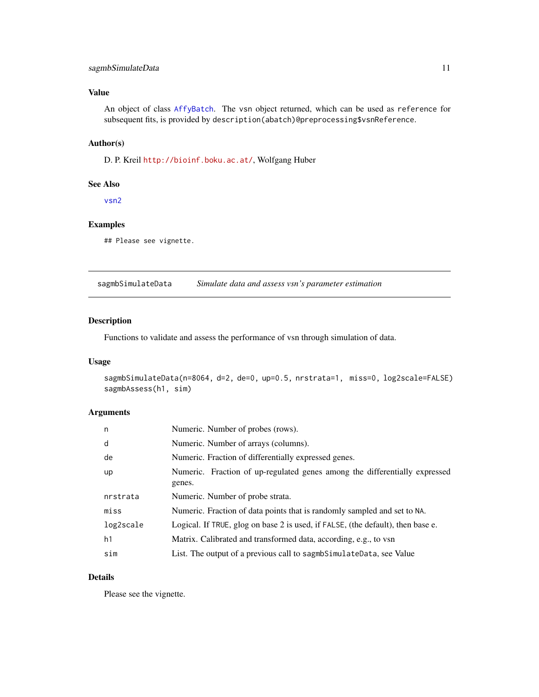#### <span id="page-10-0"></span>sagmbSimulateData 11

#### Value

An object of class [AffyBatch](#page-0-0). The vsn object returned, which can be used as reference for subsequent fits, is provided by description(abatch)@preprocessing\$vsnReference.

#### Author(s)

D. P. Kreil <http://bioinf.boku.ac.at/>, Wolfgang Huber

#### See Also

[vsn2](#page-16-1)

#### Examples

## Please see vignette.

sagmbSimulateData *Simulate data and assess vsn's parameter estimation*

#### Description

Functions to validate and assess the performance of vsn through simulation of data.

#### Usage

```
sagmbSimulateData(n=8064, d=2, de=0, up=0.5, nrstrata=1, miss=0, log2scale=FALSE)
sagmbAssess(h1, sim)
```
#### Arguments

| n         | Numeric. Number of probes (rows).                                                    |
|-----------|--------------------------------------------------------------------------------------|
| d         | Numeric. Number of arrays (columns).                                                 |
| de        | Numeric. Fraction of differentially expressed genes.                                 |
| up        | Numeric. Fraction of up-regulated genes among the differentially expressed<br>genes. |
| nrstrata  | Numeric. Number of probe strata.                                                     |
| miss      | Numeric. Fraction of data points that is randomly sampled and set to NA.             |
| log2scale | Logical. If TRUE, glog on base 2 is used, if FALSE, (the default), then base e.      |
| h1        | Matrix. Calibrated and transformed data, according, e.g., to vsn                     |
| sim       | List. The output of a previous call to sagmb SimulateData, see Value                 |

#### Details

Please see the vignette.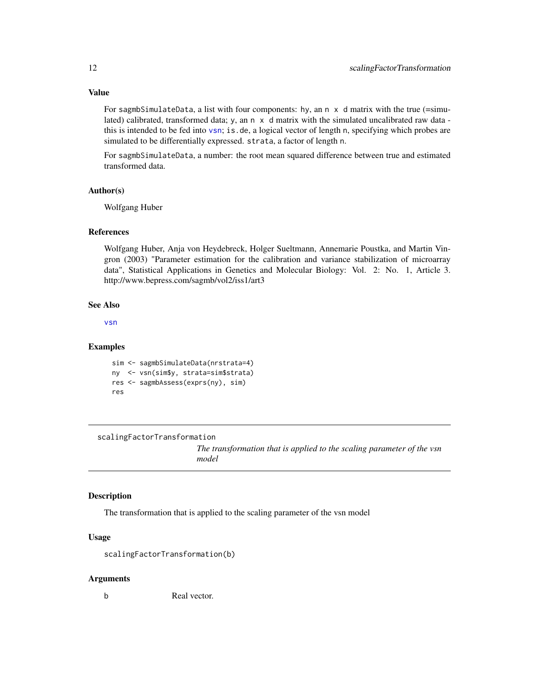For sagmbSimulateData, a list with four components: hy, an n x d matrix with the true (=simulated) calibrated, transformed data; y, an  $n \times d$  matrix with the simulated uncalibrated raw data this is intended to be fed into [vsn](#page-12-2); is.de, a logical vector of length n, specifying which probes are simulated to be differentially expressed. strata, a factor of length n.

For sagmbSimulateData, a number: the root mean squared difference between true and estimated transformed data.

#### Author(s)

Wolfgang Huber

#### References

Wolfgang Huber, Anja von Heydebreck, Holger Sueltmann, Annemarie Poustka, and Martin Vingron (2003) "Parameter estimation for the calibration and variance stabilization of microarray data", Statistical Applications in Genetics and Molecular Biology: Vol. 2: No. 1, Article 3. http://www.bepress.com/sagmb/vol2/iss1/art3

#### See Also

[vsn](#page-12-2)

#### Examples

```
sim <- sagmbSimulateData(nrstrata=4)
ny <- vsn(sim$y, strata=sim$strata)
res <- sagmbAssess(exprs(ny), sim)
res
```
scalingFactorTransformation

*The transformation that is applied to the scaling parameter of the vsn model*

#### Description

The transformation that is applied to the scaling parameter of the vsn model

#### Usage

scalingFactorTransformation(b)

#### Arguments

b Real vector.

<span id="page-11-0"></span>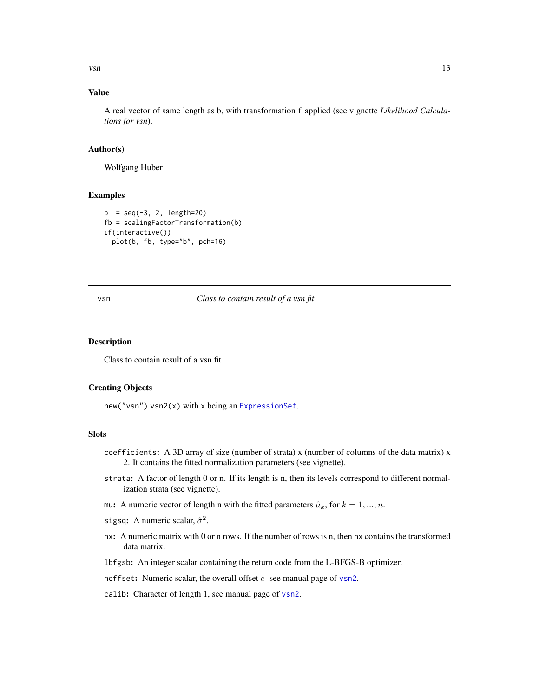<span id="page-12-0"></span> $v \sin \theta$  13

#### Value

A real vector of same length as b, with transformation f applied (see vignette *Likelihood Calculations for vsn*).

#### Author(s)

Wolfgang Huber

#### Examples

```
b = seq(-3, 2, length=20)fb = scalingFactorTransformation(b)
if(interactive())
 plot(b, fb, type="b", pch=16)
```
<span id="page-12-2"></span>

#### vsn *Class to contain result of a vsn fit*

#### <span id="page-12-1"></span>Description

Class to contain result of a vsn fit

#### Creating Objects

new("vsn") vsn2(x) with x being an [ExpressionSet](#page-0-0).

#### **Slots**

- coefficients: A 3D array of size (number of strata) x (number of columns of the data matrix) x 2. It contains the fitted normalization parameters (see vignette).
- strata: A factor of length 0 or n. If its length is n, then its levels correspond to different normalization strata (see vignette).
- mu: A numeric vector of length n with the fitted parameters  $\hat{\mu}_k$ , for  $k = 1, ..., n$ .
- sigsq: A numeric scalar,  $\hat{\sigma}^2$ .
- hx: A numeric matrix with 0 or n rows. If the number of rows is n, then hx contains the transformed data matrix.

lbfgsb: An integer scalar containing the return code from the L-BFGS-B optimizer.

- hoffset: Numeric scalar, the overall offset  $c$  see manual page of [vsn2](#page-16-1).
- calib: Character of length 1, see manual page of [vsn2](#page-16-1).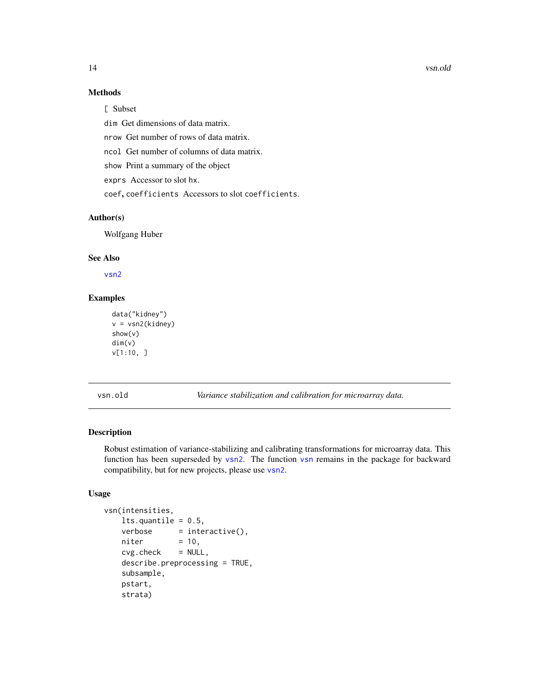#### 14 vsn.old

#### Methods

[ Subset

dim Get dimensions of data matrix.

nrow Get number of rows of data matrix.

ncol Get number of columns of data matrix.

show Print a summary of the object

exprs Accessor to slot hx.

coef, coefficients Accessors to slot coefficients.

#### Author(s)

Wolfgang Huber

#### See Also

[vsn2](#page-16-1)

#### Examples

```
data("kidney")
v = vsn2(kidney)
show(v)
dim(v)
v[1:10, ]
```
vsn.old *Variance stabilization and calibration for microarray data.*

#### Description

Robust estimation of variance-stabilizing and calibrating transformations for microarray data. This function has been superseded by [vsn2](#page-16-1). The function [vsn](#page-12-2) remains in the package for backward compatibility, but for new projects, please use [vsn2](#page-16-1).

#### Usage

```
vsn(intensities,
   lts.quantile = 0.5,
   verbose = interface();niter = 10,
   cvg.check = NULL,describe.preprocessing = TRUE,
   subsample,
   pstart,
   strata)
```
<span id="page-13-0"></span>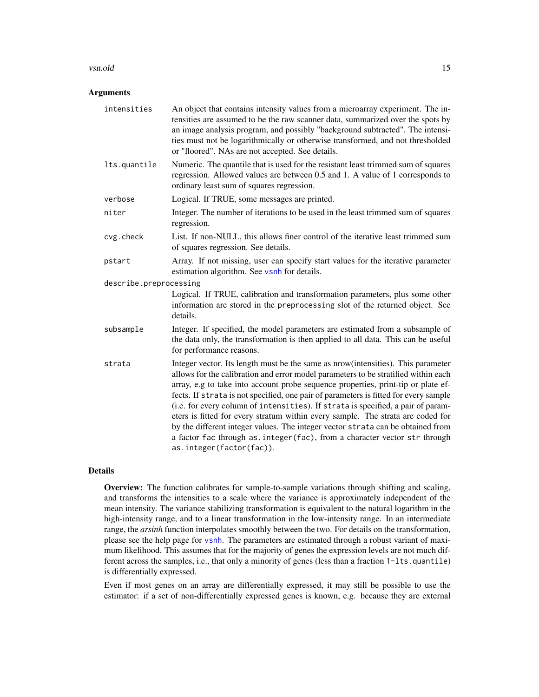#### vsn.old 15

#### **Arguments**

| intensities            | An object that contains intensity values from a microarray experiment. The in-<br>tensities are assumed to be the raw scanner data, summarized over the spots by<br>an image analysis program, and possibly "background subtracted". The intensi-<br>ties must not be logarithmically or otherwise transformed, and not thresholded<br>or "floored". NAs are not accepted. See details.                                                                                                                                                                                                                                                                                                                                   |
|------------------------|---------------------------------------------------------------------------------------------------------------------------------------------------------------------------------------------------------------------------------------------------------------------------------------------------------------------------------------------------------------------------------------------------------------------------------------------------------------------------------------------------------------------------------------------------------------------------------------------------------------------------------------------------------------------------------------------------------------------------|
| lts.quantile           | Numeric. The quantile that is used for the resistant least trimmed sum of squares<br>regression. Allowed values are between 0.5 and 1. A value of 1 corresponds to<br>ordinary least sum of squares regression.                                                                                                                                                                                                                                                                                                                                                                                                                                                                                                           |
| verbose                | Logical. If TRUE, some messages are printed.                                                                                                                                                                                                                                                                                                                                                                                                                                                                                                                                                                                                                                                                              |
| niter                  | Integer. The number of iterations to be used in the least trimmed sum of squares<br>regression.                                                                                                                                                                                                                                                                                                                                                                                                                                                                                                                                                                                                                           |
| cvg.check              | List. If non-NULL, this allows finer control of the iterative least trimmed sum<br>of squares regression. See details.                                                                                                                                                                                                                                                                                                                                                                                                                                                                                                                                                                                                    |
| pstart                 | Array. If not missing, user can specify start values for the iterative parameter<br>estimation algorithm. See vsnh for details.                                                                                                                                                                                                                                                                                                                                                                                                                                                                                                                                                                                           |
| describe.preprocessing |                                                                                                                                                                                                                                                                                                                                                                                                                                                                                                                                                                                                                                                                                                                           |
|                        | Logical. If TRUE, calibration and transformation parameters, plus some other<br>information are stored in the preprocessing slot of the returned object. See<br>details.                                                                                                                                                                                                                                                                                                                                                                                                                                                                                                                                                  |
| subsample              | Integer. If specified, the model parameters are estimated from a subsample of<br>the data only, the transformation is then applied to all data. This can be useful<br>for performance reasons.                                                                                                                                                                                                                                                                                                                                                                                                                                                                                                                            |
| strata                 | Integer vector. Its length must be the same as nrow (intensities). This parameter<br>allows for the calibration and error model parameters to be stratified within each<br>array, e.g to take into account probe sequence properties, print-tip or plate ef-<br>fects. If strata is not specified, one pair of parameters is fitted for every sample<br>(i.e. for every column of intensities). If strata is specified, a pair of param-<br>eters is fitted for every stratum within every sample. The strata are coded for<br>by the different integer values. The integer vector strata can be obtained from<br>a factor fac through as. integer (fac), from a character vector str through<br>as.integer(factor(fac)). |

#### Details

Overview: The function calibrates for sample-to-sample variations through shifting and scaling, and transforms the intensities to a scale where the variance is approximately independent of the mean intensity. The variance stabilizing transformation is equivalent to the natural logarithm in the high-intensity range, and to a linear transformation in the low-intensity range. In an intermediate range, the *arsinh* function interpolates smoothly between the two. For details on the transformation, please see the help page for [vsnh](#page-21-1). The parameters are estimated through a robust variant of maximum likelihood. This assumes that for the majority of genes the expression levels are not much different across the samples, i.e., that only a minority of genes (less than a fraction 1-lts.quantile) is differentially expressed.

Even if most genes on an array are differentially expressed, it may still be possible to use the estimator: if a set of non-differentially expressed genes is known, e.g. because they are external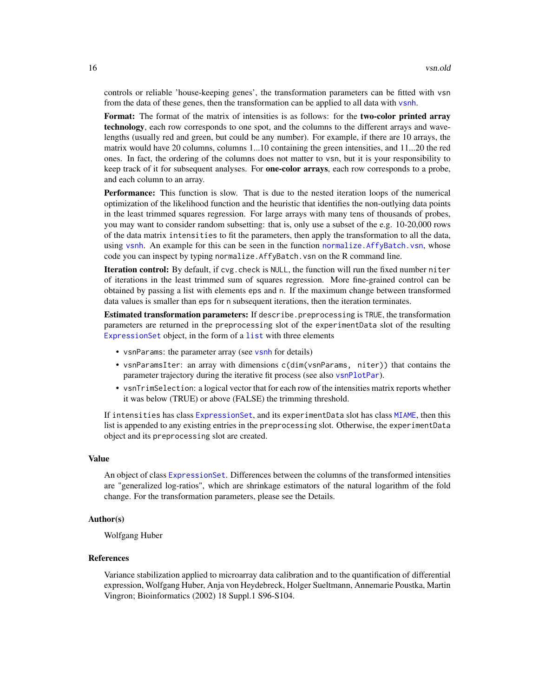controls or reliable 'house-keeping genes', the transformation parameters can be fitted with vsn from the data of these genes, then the transformation can be applied to all data with [vsnh](#page-21-1).

Format: The format of the matrix of intensities is as follows: for the two-color printed array technology, each row corresponds to one spot, and the columns to the different arrays and wavelengths (usually red and green, but could be any number). For example, if there are 10 arrays, the matrix would have 20 columns, columns 1...10 containing the green intensities, and 11...20 the red ones. In fact, the ordering of the columns does not matter to vsn, but it is your responsibility to keep track of it for subsequent analyses. For **one-color arrays**, each row corresponds to a probe, and each column to an array.

Performance: This function is slow. That is due to the nested iteration loops of the numerical optimization of the likelihood function and the heuristic that identifies the non-outlying data points in the least trimmed squares regression. For large arrays with many tens of thousands of probes, you may want to consider random subsetting: that is, only use a subset of the e.g. 10-20,000 rows of the data matrix intensities to fit the parameters, then apply the transformation to all the data, using [vsnh](#page-21-1). An example for this can be seen in the function [normalize.AffyBatch.vsn](#page-8-1), whose code you can inspect by typing normalize.AffyBatch.vsn on the R command line.

Iteration control: By default, if cvg. check is NULL, the function will run the fixed number niter of iterations in the least trimmed sum of squares regression. More fine-grained control can be obtained by passing a list with elements eps and n. If the maximum change between transformed data values is smaller than eps for n subsequent iterations, then the iteration terminates.

Estimated transformation parameters: If describe.preprocessing is TRUE, the transformation parameters are returned in the preprocessing slot of the experimentData slot of the resulting [ExpressionSet](#page-0-0) object, in the form of a [list](#page-0-0) with three elements

- vsnParams: the parameter array (see [vsnh](#page-21-1) for details)
- vsnParamsIter: an array with dimensions c(dim(vsnParams, niter)) that contains the parameter trajectory during the iterative fit process (see also [vsnPlotPar](#page-24-1)).
- vsnTrimSelection: a logical vector that for each row of the intensities matrix reports whether it was below (TRUE) or above (FALSE) the trimming threshold.

If intensities has class [ExpressionSet](#page-0-0), and its experimentData slot has class [MIAME](#page-0-0), then this list is appended to any existing entries in the preprocessing slot. Otherwise, the experimentData object and its preprocessing slot are created.

#### Value

An object of class [ExpressionSet](#page-0-0). Differences between the columns of the transformed intensities are "generalized log-ratios", which are shrinkage estimators of the natural logarithm of the fold change. For the transformation parameters, please see the Details.

#### Author(s)

Wolfgang Huber

#### References

Variance stabilization applied to microarray data calibration and to the quantification of differential expression, Wolfgang Huber, Anja von Heydebreck, Holger Sueltmann, Annemarie Poustka, Martin Vingron; Bioinformatics (2002) 18 Suppl.1 S96-S104.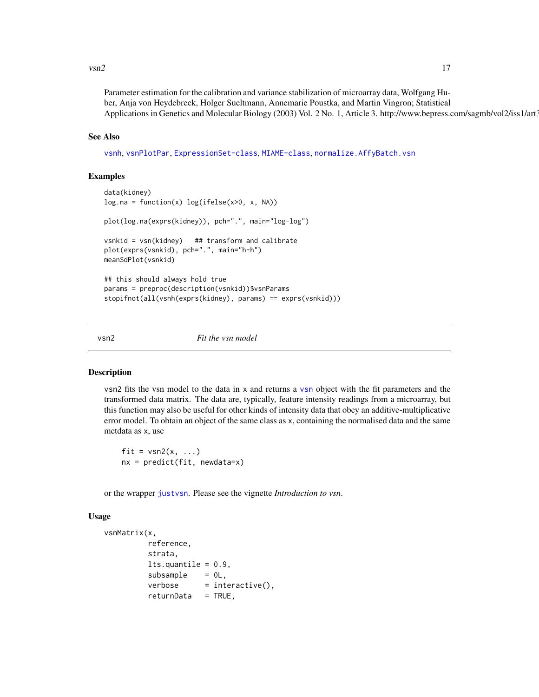#### <span id="page-16-0"></span> $v\sin 2$  17

Parameter estimation for the calibration and variance stabilization of microarray data, Wolfgang Huber, Anja von Heydebreck, Holger Sueltmann, Annemarie Poustka, and Martin Vingron; Statistical Applications in Genetics and Molecular Biology (2003) Vol. 2 No. 1, Article 3. http://www.bepress.com/sagmb/vol2/iss1/art3.

#### See Also

[vsnh](#page-21-1), [vsnPlotPar](#page-24-1), [ExpressionSet-class](#page-0-0), [MIAME-class](#page-0-0), [normalize.AffyBatch.vsn](#page-8-1)

#### Examples

```
data(kidney)
log.na = function(x) log(ifelse(x>0, x, NA))plot(log.na(exprs(kidney)), pch=".", main="log-log")
vsnkid = vsn(kidney) ## transform and calibrate
plot(exprs(vsnkid), pch=".", main="h-h")
meanSdPlot(vsnkid)
## this should always hold true
params = preproc(description(vsnkid))$vsnParams
stopifnot(all(vsnh(exprs(kidney), params) == exprs(vsnkid)))
```
<span id="page-16-1"></span>

vsn2 *Fit the vsn model*

#### Description

vsn2 fits the vsn model to the data in x and returns a [vsn](#page-12-1) object with the fit parameters and the transformed data matrix. The data are, typically, feature intensity readings from a microarray, but this function may also be useful for other kinds of intensity data that obey an additive-multiplicative error model. To obtain an object of the same class as x, containing the normalised data and the same metdata as x, use

fit =  $vsn2(x, \ldots)$  $nx = predict(fit, newdata=x)$ 

or the wrapper [justvsn](#page-2-1). Please see the vignette *Introduction to vsn*.

#### Usage

```
vsnMatrix(x,
         reference,
         strata,
         lts.quantile = 0.9,
         subsample = 0L,verbose = interactive(),returnData = TRUE,
```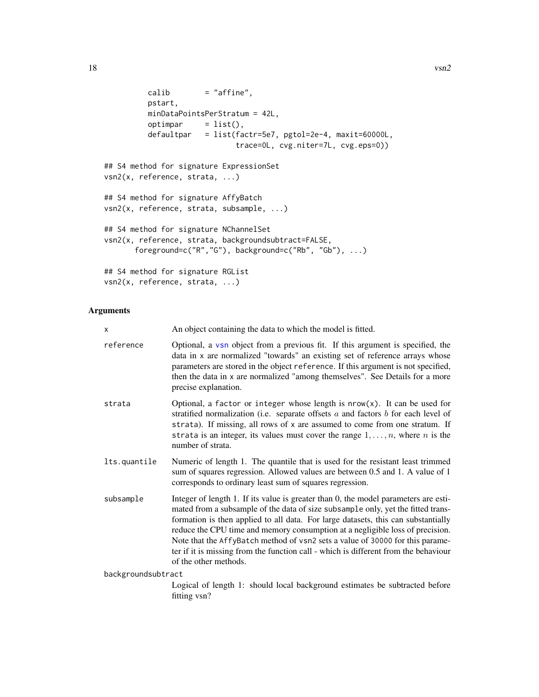```
calib = "affine",
         pstart,
         minDataPointsPerStratum = 42L,
         optimpar = list(),defaultpar = list(factr=5e7, pgtol=2e-4, maxit=60000L,
                             trace=0L, cvg.niter=7L, cvg.eps=0))
## S4 method for signature ExpressionSet
vsn2(x, reference, strata, ...)
## S4 method for signature AffyBatch
vsn2(x, reference, strata, subsample, ...)
## S4 method for signature NChannelSet
vsn2(x, reference, strata, backgroundsubtract=FALSE,
      foreground=c("R","G"), background=c("Rb", "Gb"), ...)
## S4 method for signature RGList
vsn2(x, reference, strata, ...)
```
#### Arguments

| $\times$           | An object containing the data to which the model is fitted.                                                                                                                                                                                                                                                                                                                                                                                                                                                                                    |
|--------------------|------------------------------------------------------------------------------------------------------------------------------------------------------------------------------------------------------------------------------------------------------------------------------------------------------------------------------------------------------------------------------------------------------------------------------------------------------------------------------------------------------------------------------------------------|
| reference          | Optional, a vsn object from a previous fit. If this argument is specified, the<br>data in x are normalized "towards" an existing set of reference arrays whose<br>parameters are stored in the object reference. If this argument is not specified,<br>then the data in x are normalized "among themselves". See Details for a more<br>precise explanation.                                                                                                                                                                                    |
| strata             | Optional, a factor or integer whose length is $nrow(x)$ . It can be used for<br>stratified normalization (i.e. separate offsets $a$ and factors $b$ for each level of<br>strata). If missing, all rows of x are assumed to come from one stratum. If<br>strata is an integer, its values must cover the range $1, \ldots, n$ , where <i>n</i> is the<br>number of strata.                                                                                                                                                                      |
| lts.quantile       | Numeric of length 1. The quantile that is used for the resistant least trimmed<br>sum of squares regression. Allowed values are between 0.5 and 1. A value of 1<br>corresponds to ordinary least sum of squares regression.                                                                                                                                                                                                                                                                                                                    |
| subsample          | Integer of length 1. If its value is greater than 0, the model parameters are esti-<br>mated from a subsample of the data of size subsample only, yet the fitted trans-<br>formation is then applied to all data. For large datasets, this can substantially<br>reduce the CPU time and memory consumption at a negligible loss of precision.<br>Note that the AffyBatch method of vsn2 sets a value of 30000 for this parame-<br>ter if it is missing from the function call - which is different from the behaviour<br>of the other methods. |
| backgroundsubtract |                                                                                                                                                                                                                                                                                                                                                                                                                                                                                                                                                |
|                    | Logical of length 1: should local background estimates be subtracted before                                                                                                                                                                                                                                                                                                                                                                                                                                                                    |

fitting vsn?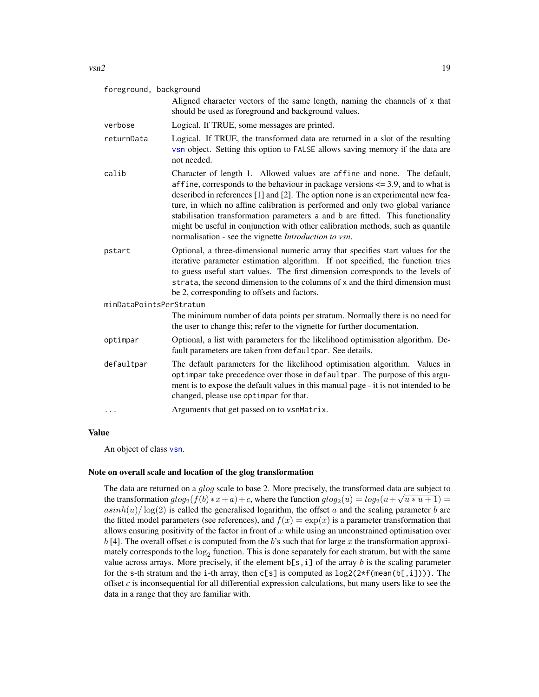| foreground, background  |                                                                                                                                                                                                                                                                                                                                                                                                                                                                                                                                                                            |
|-------------------------|----------------------------------------------------------------------------------------------------------------------------------------------------------------------------------------------------------------------------------------------------------------------------------------------------------------------------------------------------------------------------------------------------------------------------------------------------------------------------------------------------------------------------------------------------------------------------|
|                         | Aligned character vectors of the same length, naming the channels of x that<br>should be used as foreground and background values.                                                                                                                                                                                                                                                                                                                                                                                                                                         |
| verbose                 | Logical. If TRUE, some messages are printed.                                                                                                                                                                                                                                                                                                                                                                                                                                                                                                                               |
| returnData              | Logical. If TRUE, the transformed data are returned in a slot of the resulting<br>vsn object. Setting this option to FALSE allows saving memory if the data are<br>not needed.                                                                                                                                                                                                                                                                                                                                                                                             |
| calib                   | Character of length 1. Allowed values are affine and none. The default,<br>affine, corresponds to the behaviour in package versions $\leq$ 3.9, and to what is<br>described in references [1] and [2]. The option none is an experimental new fea-<br>ture, in which no affine calibration is performed and only two global variance<br>stabilisation transformation parameters a and b are fitted. This functionality<br>might be useful in conjunction with other calibration methods, such as quantile<br>normalisation - see the vignette <i>Introduction to vsn</i> . |
| pstart                  | Optional, a three-dimensional numeric array that specifies start values for the<br>iterative parameter estimation algorithm. If not specified, the function tries<br>to guess useful start values. The first dimension corresponds to the levels of<br>strata, the second dimension to the columns of x and the third dimension must<br>be 2, corresponding to offsets and factors.                                                                                                                                                                                        |
| minDataPointsPerStratum |                                                                                                                                                                                                                                                                                                                                                                                                                                                                                                                                                                            |
|                         | The minimum number of data points per stratum. Normally there is no need for<br>the user to change this; refer to the vignette for further documentation.                                                                                                                                                                                                                                                                                                                                                                                                                  |
| optimpar                | Optional, a list with parameters for the likelihood optimisation algorithm. De-<br>fault parameters are taken from defaultpar. See details.                                                                                                                                                                                                                                                                                                                                                                                                                                |
| defaultpar              | The default parameters for the likelihood optimisation algorithm. Values in<br>optimpar take precedence over those in defaultpar. The purpose of this argu-<br>ment is to expose the default values in this manual page - it is not intended to be<br>changed, please use optimpar for that.                                                                                                                                                                                                                                                                               |
| .                       | Arguments that get passed on to vsnMatrix.                                                                                                                                                                                                                                                                                                                                                                                                                                                                                                                                 |

#### Value

An object of class [vsn](#page-12-1).

#### Note on overall scale and location of the glog transformation

The data are returned on a glog scale to base 2. More precisely, the transformed data are subject to the transformation  $glog_2(f(b) * x + a) + c$ , where the function  $glog_2(u) = log_2(u + \sqrt{u * u + 1}) =$  $asinh(u)/log(2)$  is called the generalised logarithm, the offset a and the scaling parameter b are the fitted model parameters (see references), and  $f(x) = \exp(x)$  is a parameter transformation that allows ensuring positivity of the factor in front of  $x$  while using an unconstrained optimisation over  $b$  [4]. The overall offset  $c$  is computed from the  $b$ 's such that for large  $x$  the transformation approximately corresponds to the  $log_2$  function. This is done separately for each stratum, but with the same value across arrays. More precisely, if the element  $b[s,i]$  of the array *b* is the scaling parameter for the s-th stratum and the i-th array, then  $c[s]$  is computed as  $log2(2*f(mean(b[, i])))$ . The offset *c* is inconsequential for all differential expression calculations, but many users like to see the data in a range that they are familiar with.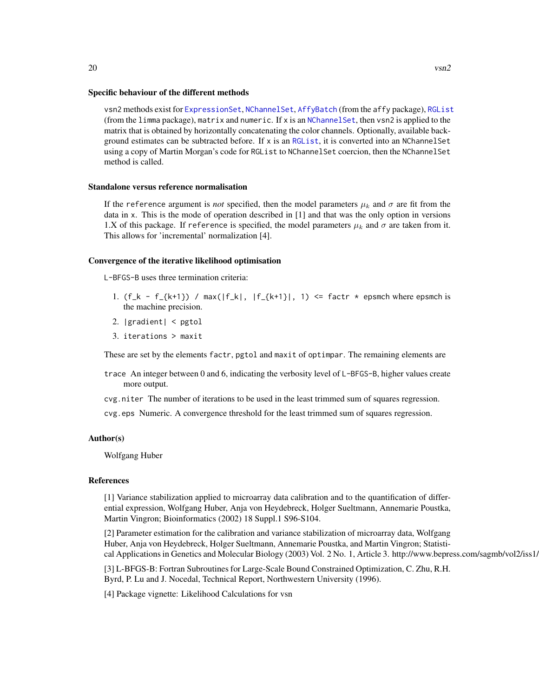vsn2 methods exist for [ExpressionSet](#page-0-0), [NChannelSet](#page-0-0), [AffyBatch](#page-0-0) (from the affy package), [RGList](#page-0-0) (from the limma package), matrix and numeric. If x is an  $NChannelSet$ , then vsn2 is applied to the matrix that is obtained by horizontally concatenating the color channels. Optionally, available background estimates can be subtracted before. If x is an [RGList](#page-0-0), it is converted into an NChannelSet using a copy of Martin Morgan's code for RGList to NChannelSet coercion, then the NChannelSet method is called.

#### Standalone versus reference normalisation

If the reference argument is *not* specified, then the model parameters  $\mu_k$  and  $\sigma$  are fit from the data in x. This is the mode of operation described in [1] and that was the only option in versions 1.X of this package. If reference is specified, the model parameters  $\mu_k$  and  $\sigma$  are taken from it. This allows for 'incremental' normalization [4].

#### Convergence of the iterative likelihood optimisation

L-BFGS-B uses three termination criteria:

- 1.  $(f_k f_{k+1})$  /  $max(|f_k|, |f_{k+1}|, 1)$  <= factr  $*$  epsmch where epsmch is the machine precision.
- 2. |gradient| < pgtol
- 3. iterations > maxit

These are set by the elements factr, pgtol and maxit of optimpar. The remaining elements are

- trace An integer between 0 and 6, indicating the verbosity level of L-BFGS-B, higher values create more output.
- cvg.niter The number of iterations to be used in the least trimmed sum of squares regression.

cvg.eps Numeric. A convergence threshold for the least trimmed sum of squares regression.

#### Author(s)

Wolfgang Huber

#### References

[1] Variance stabilization applied to microarray data calibration and to the quantification of differential expression, Wolfgang Huber, Anja von Heydebreck, Holger Sueltmann, Annemarie Poustka, Martin Vingron; Bioinformatics (2002) 18 Suppl.1 S96-S104.

[2] Parameter estimation for the calibration and variance stabilization of microarray data, Wolfgang Huber, Anja von Heydebreck, Holger Sueltmann, Annemarie Poustka, and Martin Vingron; Statistical Applications in Genetics and Molecular Biology (2003) Vol. 2 No. 1, Article 3. http://www.bepress.com/sagmb/vol2/iss1/

[3] L-BFGS-B: Fortran Subroutines for Large-Scale Bound Constrained Optimization, C. Zhu, R.H. Byrd, P. Lu and J. Nocedal, Technical Report, Northwestern University (1996).

[4] Package vignette: Likelihood Calculations for vsn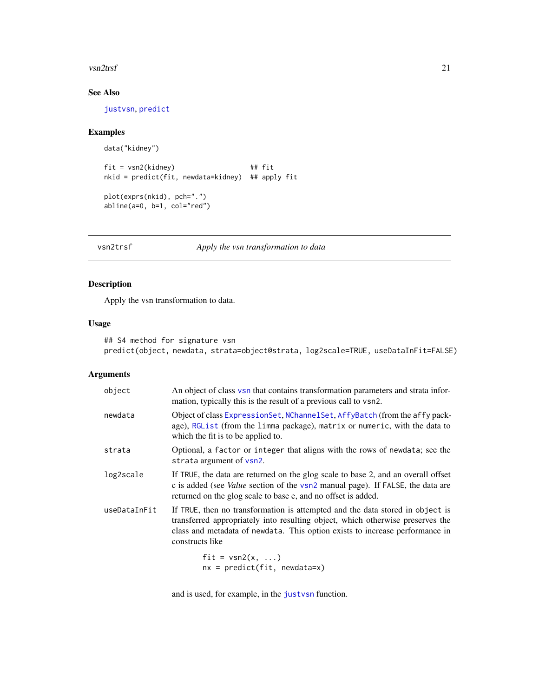#### <span id="page-20-0"></span>vsn2trsf 21

### See Also

[justvsn](#page-2-1), [predict](#page-0-0)

#### Examples

```
data("kidney")
fit = vsn2(kidney) ## fit
nkid = predict(fit, newdata=kidney) ## apply fit
plot(exprs(nkid), pch=".")
abline(a=0, b=1, col="red")
```
vsn2trsf *Apply the vsn transformation to data*

#### Description

Apply the vsn transformation to data.

#### Usage

```
## S4 method for signature vsn
predict(object, newdata, strata=object@strata, log2scale=TRUE, useDataInFit=FALSE)
```
#### Arguments

| object       | An object of class vsn that contains transformation parameters and strata infor-<br>mation, typically this is the result of a previous call to vsn2.                                                                                                               |
|--------------|--------------------------------------------------------------------------------------------------------------------------------------------------------------------------------------------------------------------------------------------------------------------|
| newdata      | Object of class ExpressionSet, NChannelSet, AffyBatch (from the affy pack-<br>age), RGList (from the limma package), matrix or numeric, with the data to<br>which the fit is to be applied to.                                                                     |
| strata       | Optional, a factor or integer that aligns with the rows of newdata; see the<br>strata argument of vsn2.                                                                                                                                                            |
| log2scale    | If TRUE, the data are returned on the glog scale to base 2, and an overall offset<br>c is added (see <i>Value</i> section of the vsn2 manual page). If FALSE, the data are<br>returned on the glog scale to base e, and no offset is added.                        |
| useDataInFit | If TRUE, then no transformation is attempted and the data stored in object is<br>transferred appropriately into resulting object, which otherwise preserves the<br>class and metadata of newdata. This option exists to increase performance in<br>constructs like |
|              | $fit = vsn2(x, )$<br>$nv = nradict(fit)$ newdstate                                                                                                                                                                                                                 |

nx = predict(fit, newdata=x)

and is used, for example, in the [justvsn](#page-2-1) function.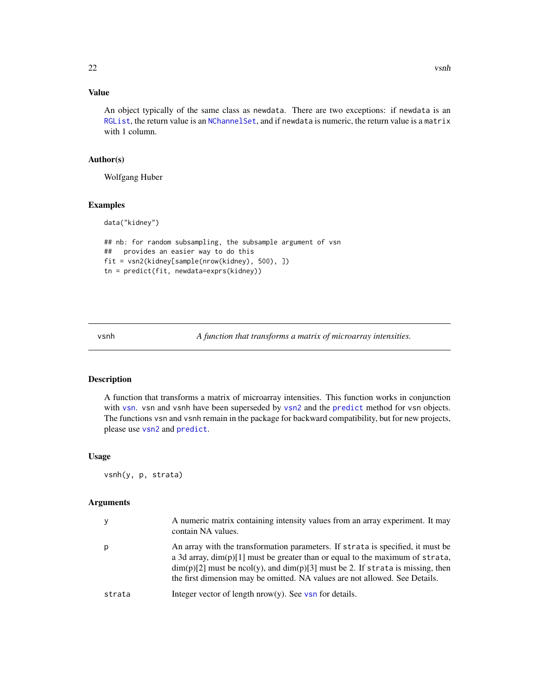#### <span id="page-21-0"></span>Value

An object typically of the same class as newdata. There are two exceptions: if newdata is an [RGList](#page-0-0), the return value is an [NChannelSet](#page-0-0), and if newdata is numeric, the return value is a matrix with 1 column.

#### Author(s)

Wolfgang Huber

data("kidney")

#### Examples

```
## nb: for random subsampling, the subsample argument of vsn
## provides an easier way to do this
fit = vsn2(kidney[sample(nrow(kidney), 500), ])
tn = predict(fit, newdata=exprs(kidney))
```
<span id="page-21-1"></span>vsnh *A function that transforms a matrix of microarray intensities.*

#### Description

A function that transforms a matrix of microarray intensities. This function works in conjunction with [vsn](#page-12-2). vsn and vsnh have been superseded by [vsn2](#page-16-1) and the [predict](#page-0-0) method for vsn objects. The functions vsn and vsnh remain in the package for backward compatibility, but for new projects, please use [vsn2](#page-16-1) and [predict](#page-0-0).

#### Usage

vsnh(y, p, strata)

#### Arguments

| у      | A numeric matrix containing intensity values from an array experiment. It may<br>contain NA values.                                                                                                                                                                                                                                       |
|--------|-------------------------------------------------------------------------------------------------------------------------------------------------------------------------------------------------------------------------------------------------------------------------------------------------------------------------------------------|
| p      | An array with the transformation parameters. If strata is specified, it must be<br>a 3d array, $dim(p)[1]$ must be greater than or equal to the maximum of strata,<br>$\dim(p)[2]$ must be ncol(y), and $\dim(p)[3]$ must be 2. If strata is missing, then<br>the first dimension may be omitted. NA values are not allowed. See Details. |
| strata | Integer vector of length $nrow(y)$ . See vsn for details.                                                                                                                                                                                                                                                                                 |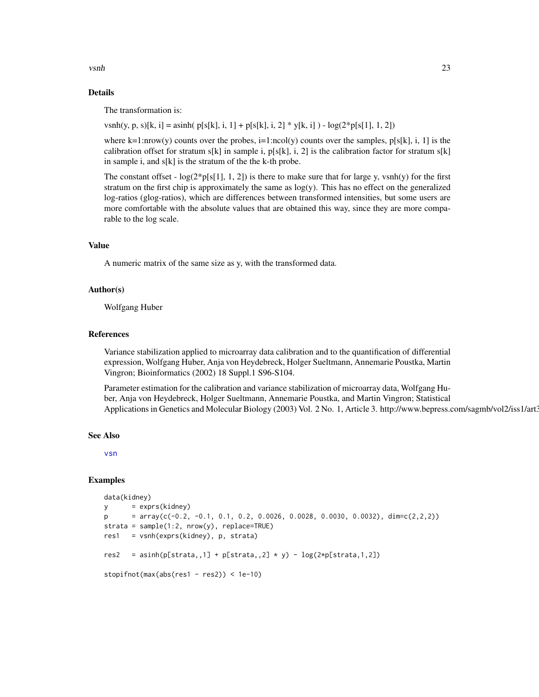$v \sinh$  23

#### Details

The transformation is:

vsnh(y, p, s)[k, i] = asinh(  $p[s[k], i, 1] + p[s[k], i, 2] * y[k, i]$  ) -  $log(2*p[s[1], 1, 2])$ 

where k=1:nrow(y) counts over the probes, i=1:ncol(y) counts over the samples,  $p[s[k], i, 1]$  is the calibration offset for stratum s[k] in sample i,  $p[s[k], i, 2]$  is the calibration factor for stratum s[k] in sample i, and s[k] is the stratum of the the k-th probe.

The constant offset -  $log(2*p[s[1], 1, 2])$  is there to make sure that for large y, vsnh(y) for the first stratum on the first chip is approximately the same as log(y). This has no effect on the generalized log-ratios (glog-ratios), which are differences between transformed intensities, but some users are more comfortable with the absolute values that are obtained this way, since they are more comparable to the log scale.

#### Value

A numeric matrix of the same size as y, with the transformed data.

#### Author(s)

Wolfgang Huber

#### References

Variance stabilization applied to microarray data calibration and to the quantification of differential expression, Wolfgang Huber, Anja von Heydebreck, Holger Sueltmann, Annemarie Poustka, Martin Vingron; Bioinformatics (2002) 18 Suppl.1 S96-S104.

Parameter estimation for the calibration and variance stabilization of microarray data, Wolfgang Huber, Anja von Heydebreck, Holger Sueltmann, Annemarie Poustka, and Martin Vingron; Statistical Applications in Genetics and Molecular Biology (2003) Vol. 2 No. 1, Article 3. http://www.bepress.com/sagmb/vol2/iss1/art3.

#### See Also

[vsn](#page-12-2)

#### Examples

```
data(kidney)
y = exprs(kidney)
p = array(c(-0.2, -0.1, 0.1, 0.2, 0.0026, 0.0028, 0.0030, 0.0032), dim=c(2,2,2))strata = sample(1:2, nrow(y), replace=TRUE)
res1 = vsnh(exprs(kidney), p, strata)
res2 = asinh(p[strata,,1] + p[strata,,2] * y) - log(2*p[strata,1,2])stopifnot(max(abs(res1 - res2)) < 1e-10)
```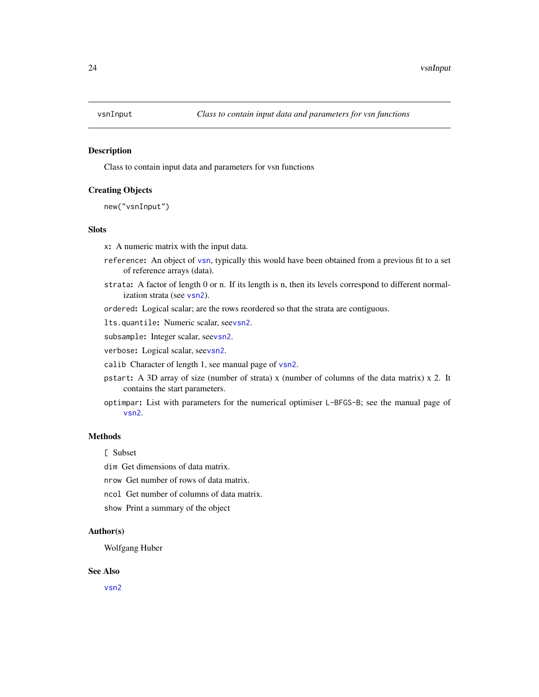<span id="page-23-1"></span><span id="page-23-0"></span>

#### Description

Class to contain input data and parameters for vsn functions

#### Creating Objects

new("vsnInput")

#### Slots

x: A numeric matrix with the input data.

- reference: An object of [vsn](#page-12-1), typically this would have been obtained from a previous fit to a set of reference arrays (data).
- strata: A factor of length 0 or n. If its length is n, then its levels correspond to different normalization strata (see [vsn2](#page-16-1)).

ordered: Logical scalar; are the rows reordered so that the strata are contiguous.

lts.quantile: Numeric scalar, see[vsn2](#page-16-1).

subsample: Integer scalar, see[vsn2](#page-16-1).

verbose: Logical scalar, see[vsn2](#page-16-1).

- calib Character of length 1, see manual page of [vsn2](#page-16-1).
- pstart: A 3D array of size (number of strata) x (number of columns of the data matrix) x 2. It contains the start parameters.
- optimpar: List with parameters for the numerical optimiser L-BFGS-B; see the manual page of [vsn2](#page-16-1).

#### Methods

[ Subset

dim Get dimensions of data matrix.

nrow Get number of rows of data matrix.

ncol Get number of columns of data matrix.

show Print a summary of the object

#### Author(s)

Wolfgang Huber

#### See Also

[vsn2](#page-16-1)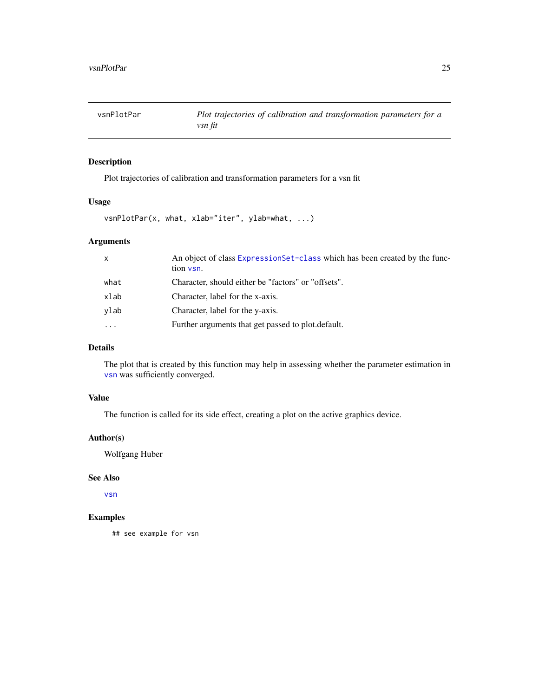<span id="page-24-1"></span><span id="page-24-0"></span>vsnPlotPar *Plot trajectories of calibration and transformation parameters for a vsn fit*

#### Description

Plot trajectories of calibration and transformation parameters for a vsn fit

#### Usage

vsnPlotPar(x, what, xlab="iter", ylab=what, ...)

#### Arguments

| $\mathsf{x}$ | An object of class ExpressionSet-class which has been created by the func-<br>tion vsn. |
|--------------|-----------------------------------------------------------------------------------------|
| what         | Character, should either be "factors" or "offsets".                                     |
| xlab         | Character, label for the x-axis.                                                        |
| ylab         | Character, label for the y-axis.                                                        |
| $\cdots$     | Further arguments that get passed to plot. default.                                     |

#### Details

The plot that is created by this function may help in assessing whether the parameter estimation in [vsn](#page-12-2) was sufficiently converged.

### Value

The function is called for its side effect, creating a plot on the active graphics device.

#### Author(s)

Wolfgang Huber

#### See Also

[vsn](#page-12-2)

#### Examples

## see example for vsn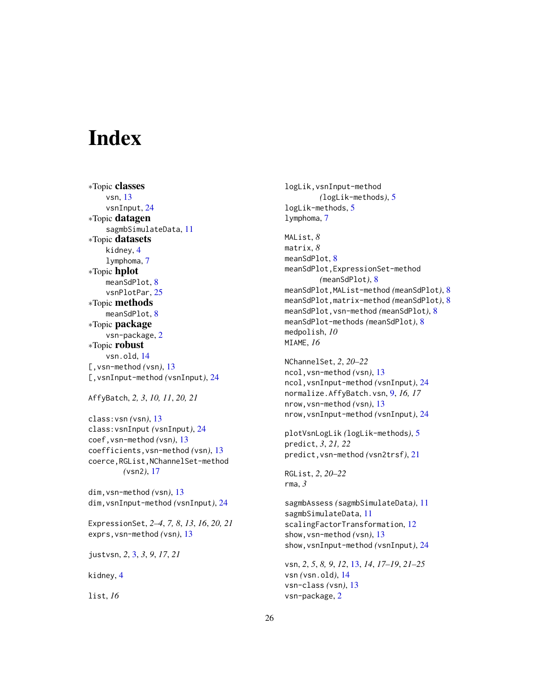# <span id="page-25-0"></span>**Index**

∗Topic classes vsn, [13](#page-12-0) vsnInput, [24](#page-23-0) ∗Topic datagen sagmbSimulateData, [11](#page-10-0) ∗Topic datasets kidney, [4](#page-3-0) lymphoma, [7](#page-6-0) ∗Topic hplot meanSdPlot, [8](#page-7-0) vsnPlotPar, [25](#page-24-0) ∗Topic methods meanSdPlot, [8](#page-7-0) ∗Topic package vsn-package, [2](#page-1-0) ∗Topic robust vsn.old, [14](#page-13-0) [,vsn-method *(*vsn*)*, [13](#page-12-0) [,vsnInput-method *(*vsnInput*)*, [24](#page-23-0)

```
AffyBatch, 2, 3, 10, 11, 20, 21
```

```
class:vsn (vsn), 13
class:vsnInput (vsnInput), 24
coef,vsn-method (vsn), 13
coefficients,vsn-method (vsn), 13
coerce,RGList,NChannelSet-method
        (vsn2), 17
```
dim,vsn-method *(*vsn*)*, [13](#page-12-0) dim,vsnInput-method *(*vsnInput*)*, [24](#page-23-0)

ExpressionSet, *2–4*, *7, 8*, *13*, *16*, *20, 21* exprs,vsn-method *(*vsn*)*, [13](#page-12-0)

justvsn, *2*, [3,](#page-2-0) *3*, *9*, *17*, *21*

kidney, [4](#page-3-0)

list, *16*

logLik,vsnInput-method *(*logLik-methods*)*, [5](#page-4-0) logLik-methods, [5](#page-4-0) lymphoma, [7](#page-6-0) MAList, *8* matrix, *8* meanSdPlot, [8](#page-7-0) meanSdPlot,ExpressionSet-method *(*meanSdPlot*)*, [8](#page-7-0) meanSdPlot,MAList-method *(*meanSdPlot*)*, [8](#page-7-0) meanSdPlot,matrix-method *(*meanSdPlot*)*, [8](#page-7-0) meanSdPlot,vsn-method *(*meanSdPlot*)*, [8](#page-7-0) meanSdPlot-methods *(*meanSdPlot*)*, [8](#page-7-0) medpolish, *10* MIAME, *16*

```
NChannelSet, 2, 20–22
ncol,vsn-method (vsn), 13
ncol,vsnInput-method (vsnInput), 24
normalize.AffyBatch.vsn, 9, 16, 17
nrow,vsn-method (vsn), 13
nrow,vsnInput-method (vsnInput), 24
```

```
plotVsnLogLik (logLik-methods), 5
predict, 3, 21, 22
predict,vsn-method (vsn2trsf), 21
```

```
RGList, 2, 20–22
rma, 3
```
sagmbAssess *(*sagmbSimulateData*)*, [11](#page-10-0) sagmbSimulateData, [11](#page-10-0) scalingFactorTransformation, [12](#page-11-0) show,vsn-method *(*vsn*)*, [13](#page-12-0) show,vsnInput-method *(*vsnInput*)*, [24](#page-23-0)

```
vsn, 2, 5, 8, 9, 12, 13, 14, 17–19, 21–25
vsn (vsn.old), 14
vsn-class (vsn), 13
vsn-package, 2
```